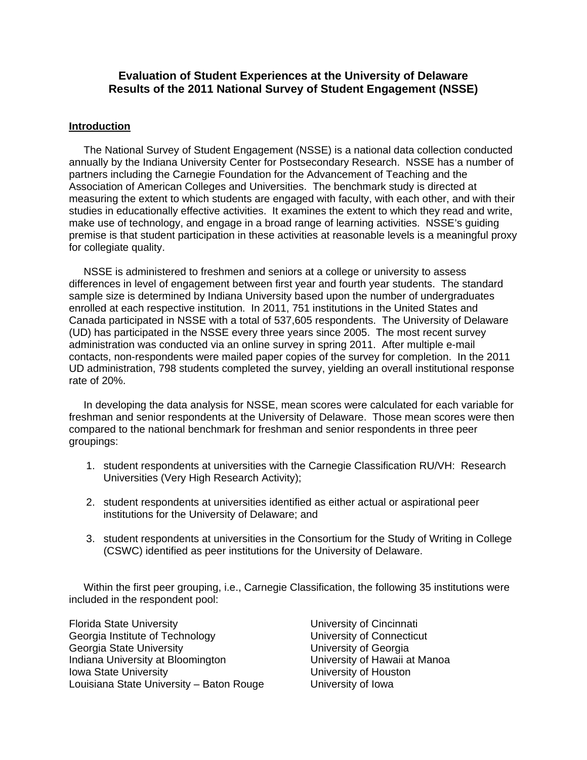# **Evaluation of Student Experiences at the University of Delaware Results of the 2011 National Survey of Student Engagement (NSSE)**

### **Introduction**

 The National Survey of Student Engagement (NSSE) is a national data collection conducted annually by the Indiana University Center for Postsecondary Research. NSSE has a number of partners including the Carnegie Foundation for the Advancement of Teaching and the Association of American Colleges and Universities. The benchmark study is directed at measuring the extent to which students are engaged with faculty, with each other, and with their studies in educationally effective activities. It examines the extent to which they read and write, make use of technology, and engage in a broad range of learning activities. NSSE's guiding premise is that student participation in these activities at reasonable levels is a meaningful proxy for collegiate quality.

 NSSE is administered to freshmen and seniors at a college or university to assess differences in level of engagement between first year and fourth year students. The standard sample size is determined by Indiana University based upon the number of undergraduates enrolled at each respective institution. In 2011, 751 institutions in the United States and Canada participated in NSSE with a total of 537,605 respondents. The University of Delaware (UD) has participated in the NSSE every three years since 2005. The most recent survey administration was conducted via an online survey in spring 2011. After multiple e-mail contacts, non-respondents were mailed paper copies of the survey for completion. In the 2011 UD administration, 798 students completed the survey, yielding an overall institutional response rate of 20%.

 In developing the data analysis for NSSE, mean scores were calculated for each variable for freshman and senior respondents at the University of Delaware. Those mean scores were then compared to the national benchmark for freshman and senior respondents in three peer groupings:

- 1. student respondents at universities with the Carnegie Classification RU/VH: Research Universities (Very High Research Activity);
- 2. student respondents at universities identified as either actual or aspirational peer institutions for the University of Delaware; and
- 3. student respondents at universities in the Consortium for the Study of Writing in College (CSWC) identified as peer institutions for the University of Delaware.

 Within the first peer grouping, i.e., Carnegie Classification, the following 35 institutions were included in the respondent pool:

Florida State University **No. 2018** University of Cincinnati Georgia Institute of Technology University of Connecticut Georgia State University<br>
Indiana University at Bloomington<br>
University of Hawaii at Manoa Indiana University at Bloomington **Iowa State University Community** University of Houston Louisiana State University – Baton Rouge University of Iowa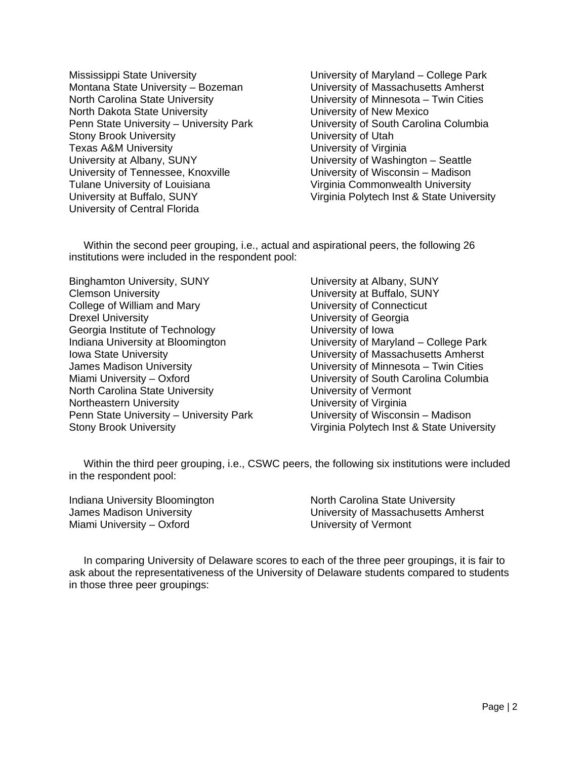Mississippi State University University of Maryland – College Park Montana State University – Bozeman University of Massachusetts Amherst North Carolina State University University of Minnesota – Twin Cities North Dakota State University University of New Mexico Penn State University – University Park University of South Carolina Columbia Stony Brook University **Stony Brook University** Texas A&M University **Texas A&M** University **University of Virginia** University at Albany, SUNY University of Washington – Seattle University of Tennessee, Knoxville University of Wisconsin – Madison Tulane University of Louisiana Virginia Commonwealth University University at Buffalo, SUNY Virginia Polytech Inst & State University University of Central Florida

 Within the second peer grouping, i.e., actual and aspirational peers, the following 26 institutions were included in the respondent pool:

Binghamton University, SUNY University at Albany, SUNY<br>Clemson University<br>University at Buffalo, SUNY College of William and Mary University of Connecticut Drexel University University of Georgia Georgia Institute of Technology **Example 20** University of Iowa Indiana University at Bloomington University of Maryland – College Park Iowa State University University of Massachusetts Amherst James Madison University University of Minnesota – Twin Cities North Carolina State University **North Carolina State University** University of Vermont Northeastern University **Northeastern University University of Virginia** Penn State University – University Park University of Wisconsin – Madison

University at Buffalo, SUNY Miami University – Oxford University of South Carolina Columbia Stony Brook University **Virginia Polytech Inst & State University** 

 Within the third peer grouping, i.e., CSWC peers, the following six institutions were included in the respondent pool:

Miami University – Oxford University of Vermont

Indiana University Bloomington North Carolina State University James Madison University University of Massachusetts Amherst

 In comparing University of Delaware scores to each of the three peer groupings, it is fair to ask about the representativeness of the University of Delaware students compared to students in those three peer groupings: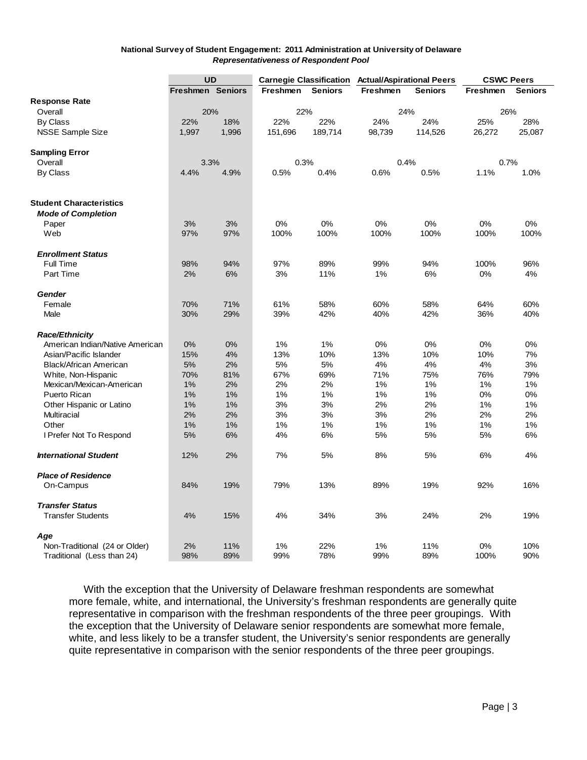#### **National Survey of Student Engagement: 2011 Administration at University of Delaware** *Representativeness of Respondent Pool*

|                                 | <b>UD</b>               |       | <b>Carnegie Classification</b> |                | <b>Actual/Aspirational Peers</b> |                | <b>CSWC Peers</b> |                |
|---------------------------------|-------------------------|-------|--------------------------------|----------------|----------------------------------|----------------|-------------------|----------------|
|                                 | <b>Freshmen Seniors</b> |       | <b>Freshmen</b>                | <b>Seniors</b> | <b>Freshmen</b>                  | <b>Seniors</b> | <b>Freshmen</b>   | <b>Seniors</b> |
| <b>Response Rate</b>            |                         |       |                                |                |                                  |                |                   |                |
| Overall                         | 20%                     |       | 22%                            |                | 24%                              |                | 26%               |                |
| By Class                        | 22%                     | 18%   | 22%                            | 22%            | 24%                              | 24%            | 25%               | 28%            |
| <b>NSSE Sample Size</b>         | 1,997                   | 1,996 | 151,696                        | 189,714        | 98,739                           | 114,526        | 26,272            | 25,087         |
|                                 |                         |       |                                |                |                                  |                |                   |                |
| <b>Sampling Error</b>           |                         |       |                                |                |                                  |                |                   |                |
| Overall                         | 3.3%                    |       | 0.3%                           |                | 0.4%                             |                | 0.7%              |                |
| By Class                        | 4.4%                    | 4.9%  | 0.5%                           | 0.4%           | 0.6%                             | 0.5%           | 1.1%              | 1.0%           |
|                                 |                         |       |                                |                |                                  |                |                   |                |
| <b>Student Characteristics</b>  |                         |       |                                |                |                                  |                |                   |                |
|                                 |                         |       |                                |                |                                  |                |                   |                |
| <b>Mode of Completion</b>       | 3%                      | 3%    | 0%                             | 0%             | 0%                               | 0%             | 0%                | 0%             |
| Paper                           | 97%                     | 97%   | 100%                           | 100%           | 100%                             | 100%           | 100%              | 100%           |
| Web                             |                         |       |                                |                |                                  |                |                   |                |
| <b>Enrollment Status</b>        |                         |       |                                |                |                                  |                |                   |                |
| Full Time                       | 98%                     | 94%   | 97%                            | 89%            | 99%                              | 94%            | 100%              | 96%            |
| Part Time                       | 2%                      | 6%    | 3%                             | 11%            | 1%                               | 6%             | 0%                | 4%             |
|                                 |                         |       |                                |                |                                  |                |                   |                |
| <b>Gender</b>                   |                         |       |                                |                |                                  |                |                   |                |
| Female                          | 70%                     | 71%   | 61%                            | 58%            | 60%                              | 58%            | 64%               | 60%            |
| Male                            | 30%                     | 29%   | 39%                            | 42%            | 40%                              | 42%            | 36%               | 40%            |
| <b>Race/Ethnicity</b>           |                         |       |                                |                |                                  |                |                   |                |
| American Indian/Native American | 0%                      | 0%    | 1%                             | 1%             | 0%                               | 0%             | 0%                | 0%             |
| Asian/Pacific Islander          | 15%                     | 4%    | 13%                            | 10%            | 13%                              | 10%            | 10%               | 7%             |
| Black/African American          | 5%                      | 2%    | 5%                             | 5%             | 4%                               | 4%             | 4%                | 3%             |
| White, Non-Hispanic             | 70%                     | 81%   | 67%                            | 69%            | 71%                              | 75%            | 76%               | 79%            |
| Mexican/Mexican-American        | 1%                      | 2%    | 2%                             | 2%             | 1%                               | 1%             | 1%                | 1%             |
| Puerto Rican                    | 1%                      | 1%    | 1%                             | 1%             | 1%                               | 1%             | 0%                | 0%             |
| Other Hispanic or Latino        | 1%                      | 1%    | 3%                             | 3%             | 2%                               | 2%             | 1%                | 1%             |
| Multiracial                     | 2%                      | 2%    | 3%                             | 3%             | 3%                               | 2%             | 2%                | 2%             |
| Other                           | 1%                      | 1%    | 1%                             | 1%             | 1%                               | 1%             | 1%                | 1%             |
| I Prefer Not To Respond         | 5%                      | 6%    | 4%                             | 6%             | 5%                               | 5%             | 5%                | 6%             |
|                                 |                         |       |                                |                |                                  |                |                   |                |
| <b>International Student</b>    | 12%                     | 2%    | 7%                             | 5%             | 8%                               | 5%             | 6%                | 4%             |
| <b>Place of Residence</b>       |                         |       |                                |                |                                  |                |                   |                |
| On-Campus                       | 84%                     | 19%   | 79%                            | 13%            | 89%                              | 19%            | 92%               | 16%            |
|                                 |                         |       |                                |                |                                  |                |                   |                |
| <b>Transfer Status</b>          |                         |       |                                |                |                                  |                |                   |                |
| <b>Transfer Students</b>        | 4%                      | 15%   | 4%                             | 34%            | 3%                               | 24%            | 2%                | 19%            |
| Age                             |                         |       |                                |                |                                  |                |                   |                |
| Non-Traditional (24 or Older)   | 2%                      | 11%   | 1%                             | 22%            | 1%                               | 11%            | 0%                | 10%            |
|                                 | 98%                     | 89%   | 99%                            | 78%            | 99%                              | 89%            | 100%              | 90%            |
| Traditional (Less than 24)      |                         |       |                                |                |                                  |                |                   |                |

 With the exception that the University of Delaware freshman respondents are somewhat more female, white, and international, the University's freshman respondents are generally quite representative in comparison with the freshman respondents of the three peer groupings. With the exception that the University of Delaware senior respondents are somewhat more female, white, and less likely to be a transfer student, the University's senior respondents are generally quite representative in comparison with the senior respondents of the three peer groupings.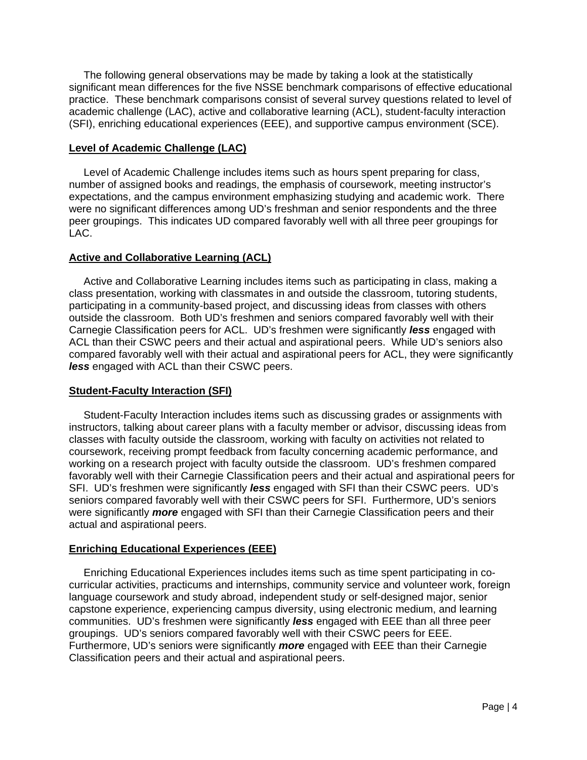The following general observations may be made by taking a look at the statistically significant mean differences for the five NSSE benchmark comparisons of effective educational practice. These benchmark comparisons consist of several survey questions related to level of academic challenge (LAC), active and collaborative learning (ACL), student-faculty interaction (SFI), enriching educational experiences (EEE), and supportive campus environment (SCE).

### **Level of Academic Challenge (LAC)**

 Level of Academic Challenge includes items such as hours spent preparing for class, number of assigned books and readings, the emphasis of coursework, meeting instructor's expectations, and the campus environment emphasizing studying and academic work. There were no significant differences among UD's freshman and senior respondents and the three peer groupings. This indicates UD compared favorably well with all three peer groupings for LAC.

# **Active and Collaborative Learning (ACL)**

 Active and Collaborative Learning includes items such as participating in class, making a class presentation, working with classmates in and outside the classroom, tutoring students, participating in a community-based project, and discussing ideas from classes with others outside the classroom. Both UD's freshmen and seniors compared favorably well with their Carnegie Classification peers for ACL. UD's freshmen were significantly *less* engaged with ACL than their CSWC peers and their actual and aspirational peers. While UD's seniors also compared favorably well with their actual and aspirational peers for ACL, they were significantly *less* engaged with ACL than their CSWC peers.

# **Student-Faculty Interaction (SFI)**

 Student-Faculty Interaction includes items such as discussing grades or assignments with instructors, talking about career plans with a faculty member or advisor, discussing ideas from classes with faculty outside the classroom, working with faculty on activities not related to coursework, receiving prompt feedback from faculty concerning academic performance, and working on a research project with faculty outside the classroom. UD's freshmen compared favorably well with their Carnegie Classification peers and their actual and aspirational peers for SFI. UD's freshmen were significantly *less* engaged with SFI than their CSWC peers. UD's seniors compared favorably well with their CSWC peers for SFI. Furthermore, UD's seniors were significantly *more* engaged with SFI than their Carnegie Classification peers and their actual and aspirational peers.

# **Enriching Educational Experiences (EEE)**

 Enriching Educational Experiences includes items such as time spent participating in cocurricular activities, practicums and internships, community service and volunteer work, foreign language coursework and study abroad, independent study or self-designed major, senior capstone experience, experiencing campus diversity, using electronic medium, and learning communities. UD's freshmen were significantly *less* engaged with EEE than all three peer groupings. UD's seniors compared favorably well with their CSWC peers for EEE. Furthermore, UD's seniors were significantly *more* engaged with EEE than their Carnegie Classification peers and their actual and aspirational peers.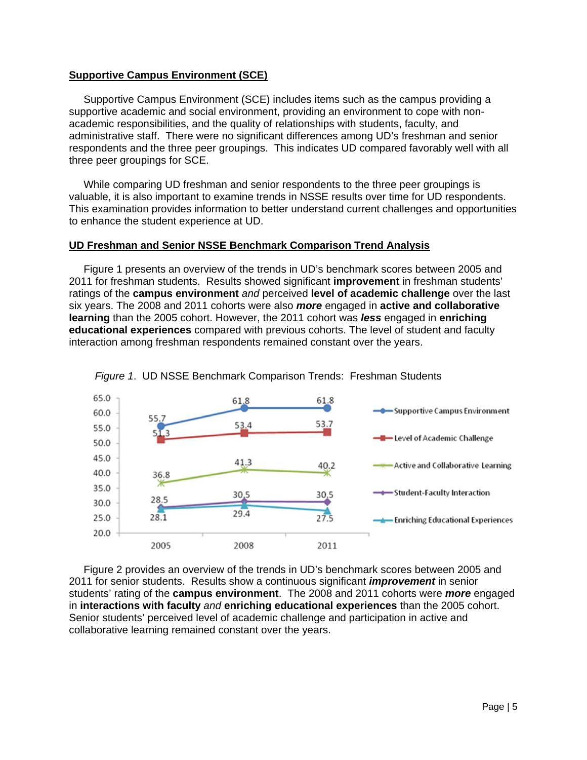#### **Supportive Campus Environment (SCE)**

 Supportive Campus Environment (SCE) includes items such as the campus providing a supportive academic and social environment, providing an environment to cope with nonacademic responsibilities, and the quality of relationships with students, faculty, and administrative staff. There were no significant differences among UD's freshman and senior respondents and the three peer groupings. This indicates UD compared favorably well with all three peer groupings for SCE.

 While comparing UD freshman and senior respondents to the three peer groupings is valuable, it is also important to examine trends in NSSE results over time for UD respondents. This examination provides information to better understand current challenges and opportunities to enhance the student experience at UD.

#### **UD Freshman and Senior NSSE Benchmark Comparison Trend Analysis**

 Figure 1 presents an overview of the trends in UD's benchmark scores between 2005 and 2011 for freshman students. Results showed significant **improvement** in freshman students' ratings of the **campus environment** *and* perceived **level of academic challenge** over the last six years. The 2008 and 2011 cohorts were also *more* engaged in **active and collaborative learning** than the 2005 cohort. However, the 2011 cohort was *less* engaged in **enriching educational experiences** compared with previous cohorts. The level of student and faculty interaction among freshman respondents remained constant over the years.





 Figure 2 provides an overview of the trends in UD's benchmark scores between 2005 and 2011 for senior students. Results show a continuous significant *improvement* in senior students' rating of the **campus environment**. The 2008 and 2011 cohorts were *more* engaged in **interactions with faculty** *and* **enriching educational experiences** than the 2005 cohort. Senior students' perceived level of academic challenge and participation in active and collaborative learning remained constant over the years.